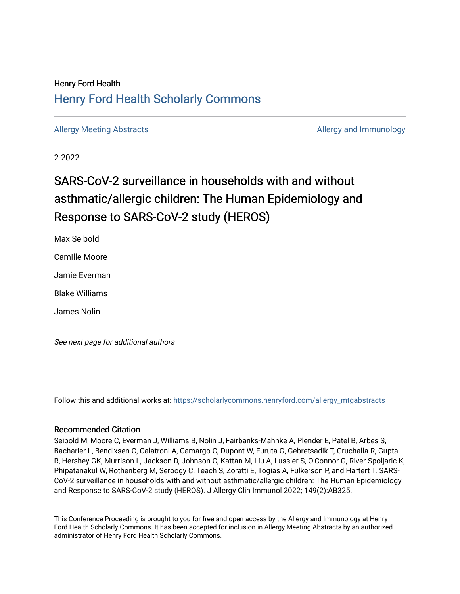## Henry Ford Health [Henry Ford Health Scholarly Commons](https://scholarlycommons.henryford.com/)

[Allergy Meeting Abstracts](https://scholarlycommons.henryford.com/allergy_mtgabstracts) **Allergy and Immunology** and Immunology

2-2022

# SARS-CoV-2 surveillance in households with and without asthmatic/allergic children: The Human Epidemiology and Response to SARS-CoV-2 study (HEROS)

Max Seibold

Camille Moore

Jamie Everman

Blake Williams

James Nolin

See next page for additional authors

Follow this and additional works at: [https://scholarlycommons.henryford.com/allergy\\_mtgabstracts](https://scholarlycommons.henryford.com/allergy_mtgabstracts?utm_source=scholarlycommons.henryford.com%2Fallergy_mtgabstracts%2F24&utm_medium=PDF&utm_campaign=PDFCoverPages) 

#### Recommended Citation

Seibold M, Moore C, Everman J, Williams B, Nolin J, Fairbanks-Mahnke A, Plender E, Patel B, Arbes S, Bacharier L, Bendixsen C, Calatroni A, Camargo C, Dupont W, Furuta G, Gebretsadik T, Gruchalla R, Gupta R, Hershey GK, Murrison L, Jackson D, Johnson C, Kattan M, Liu A, Lussier S, O'Connor G, River-Spoljaric K, Phipatanakul W, Rothenberg M, Seroogy C, Teach S, Zoratti E, Togias A, Fulkerson P, and Hartert T. SARS-CoV-2 surveillance in households with and without asthmatic/allergic children: The Human Epidemiology and Response to SARS-CoV-2 study (HEROS). J Allergy Clin Immunol 2022; 149(2):AB325.

This Conference Proceeding is brought to you for free and open access by the Allergy and Immunology at Henry Ford Health Scholarly Commons. It has been accepted for inclusion in Allergy Meeting Abstracts by an authorized administrator of Henry Ford Health Scholarly Commons.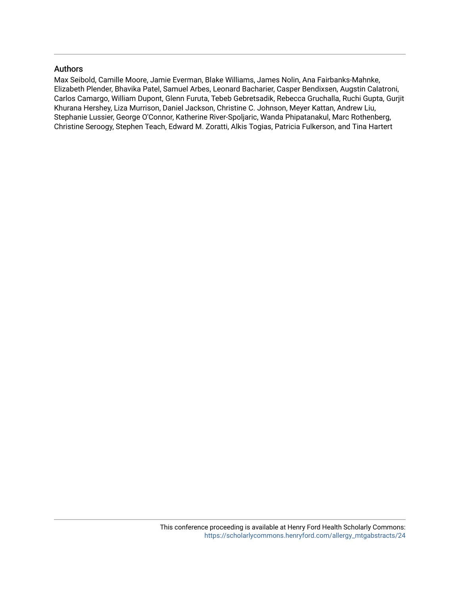#### Authors

Max Seibold, Camille Moore, Jamie Everman, Blake Williams, James Nolin, Ana Fairbanks-Mahnke, Elizabeth Plender, Bhavika Patel, Samuel Arbes, Leonard Bacharier, Casper Bendixsen, Augstin Calatroni, Carlos Camargo, William Dupont, Glenn Furuta, Tebeb Gebretsadik, Rebecca Gruchalla, Ruchi Gupta, Gurjit Khurana Hershey, Liza Murrison, Daniel Jackson, Christine C. Johnson, Meyer Kattan, Andrew Liu, Stephanie Lussier, George O'Connor, Katherine River-Spoljaric, Wanda Phipatanakul, Marc Rothenberg, Christine Seroogy, Stephen Teach, Edward M. Zoratti, Alkis Togias, Patricia Fulkerson, and Tina Hartert